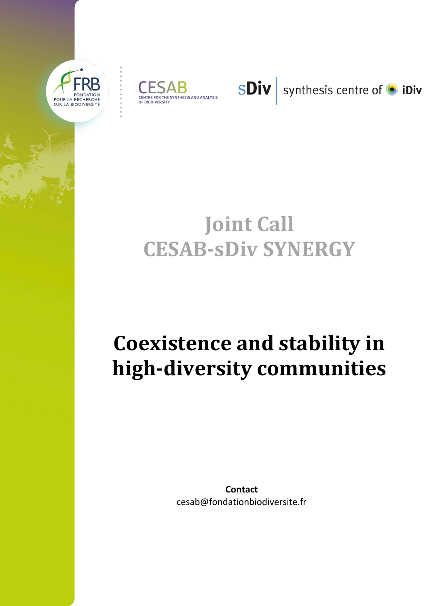





synthesis centre of **·** iDiv

# **Joint Call CESAB-sDiv SYNERGY**

# **Coexistence and stability in high-diversity communities**

**Contact** cesab@fondationbiodiversite.fr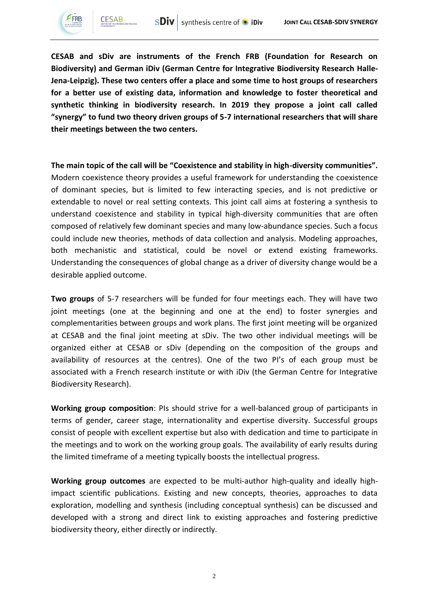

**CESAB and sDiv are instruments of the French FRB (Foundation for Research on Biodiversity) and German iDiv (German Centre for Integrative Biodiversity Research Halle-Jena-Leipzig). These two centers offer a place and some time to host groups of researchers for a better use of existing data, information and knowledge to foster theoretical and synthetic thinking in biodiversity research. In 2019 they propose a joint call called "synergy" to fund two theory driven groups of 5-7 international researchers that will share their meetings between the two centers.** 

**The main topic of the call will be "Coexistence and stability in high-diversity communities".**  Modern coexistence theory provides a useful framework for understanding the coexistence of dominant species, but is limited to few interacting species, and is not predictive or extendable to novel or real setting contexts. This joint call aims at fostering a synthesis to understand coexistence and stability in typical high-diversity communities that are often composed of relatively few dominant species and many low-abundance species. Such a focus could include new theories, methods of data collection and analysis. Modeling approaches, both mechanistic and statistical, could be novel or extend existing frameworks. Understanding the consequences of global change as a driver of diversity change would be a desirable applied outcome.

**Two groups** of 5-7 researchers will be funded for four meetings each. They will have two joint meetings (one at the beginning and one at the end) to foster synergies and complementarities between groups and work plans. The first joint meeting will be organized at CESAB and the final joint meeting at sDiv. The two other individual meetings will be organized either at CESAB or sDiv (depending on the composition of the groups and availability of resources at the centres). One of the two PI's of each group must be associated with a French research institute or with iDiv (the German Centre for Integrative Biodiversity Research).

**Working group composition**: PIs should strive for a well-balanced group of participants in terms of gender, career stage, internationality and expertise diversity. Successful groups consist of people with excellent expertise but also with dedication and time to participate in the meetings and to work on the working group goals. The availability of early results during the limited timeframe of a meeting typically boosts the intellectual progress.

**Working group outcomes** are expected to be multi-author high-quality and ideally highimpact scientific publications. Existing and new concepts, theories, approaches to data exploration, modelling and synthesis (including conceptual synthesis) can be discussed and developed with a strong and direct link to existing approaches and fostering predictive biodiversity theory, either directly or indirectly.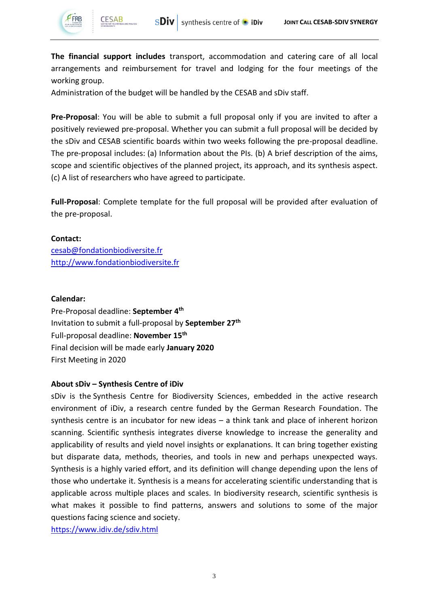

**CESAB** 

**The financial support includes** transport, accommodation and catering care of all local arrangements and reimbursement for travel and lodging for the four meetings of the working group.

Administration of the budget will be handled by the CESAB and sDiv staff.

**Pre-Proposal**: You will be able to submit a full proposal only if you are invited to after a positively reviewed pre-proposal. Whether you can submit a full proposal will be decided by the sDiv and CESAB scientific boards within two weeks following the pre-proposal deadline. The pre-proposal includes: (a) Information about the PIs. (b) A brief description of the aims, scope and scientific objectives of the planned project, its approach, and its synthesis aspect. (c) A list of researchers who have agreed to participate.

**Full-Proposal**: Complete template for the full proposal will be provided after evaluation of the pre-proposal.

# **Contact:**

[cesab@fondationbiodiversite.fr](mailto:cesab@fondationbiodiversite.fr) [http://www.fondationbiodiversite.fr](http://www.fondationbiodiversite.fr/)

#### **Calendar:**

Pre-Proposal deadline: **September 4th** Invitation to submit a full-proposal by **September 27th** Full-proposal deadline: **November 15th** Final decision will be made early **January 2020** First Meeting in 2020

# **About sDiv – Synthesis Centre of iDiv**

sDiv is the Synthesis Centre for Biodiversity Sciences, embedded in the active research environment of iDiv, a research centre funded by the German Research Foundation. The synthesis centre is an incubator for new ideas – a think tank and place of inherent horizon scanning. Scientific synthesis integrates diverse knowledge to increase the generality and applicability of results and yield novel insights or explanations. It can bring together existing but disparate data, methods, theories, and tools in new and perhaps unexpected ways. Synthesis is a highly varied effort, and its definition will change depending upon the lens of those who undertake it. Synthesis is a means for accelerating scientific understanding that is applicable across multiple places and scales. In biodiversity research, scientific synthesis is what makes it possible to find patterns, answers and solutions to some of the major questions facing science and society.

https://www.idiv.de/sdiv.html